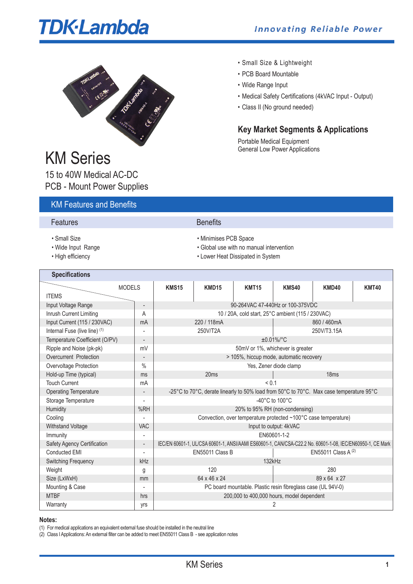# **TDK**·Lambda



## KM Series

15 to 40W Medical AC-DC PCB - Mount Power Supplies

## KM Features and Benefits

#### **Features** Benefits

- 
- 
- 
- Small Size & Lightweight
- PCB Board Mountable
- Wide Range Input
- Medical Safety Certifications (4kVAC Input Output)
- Class II (No ground needed)

## **Key Market Segments & Applications**

Portable Medical Equipment General Low Power Applications

| • Small Size | • Minimises PCB Space |
|--------------|-----------------------|
|--------------|-----------------------|

- Wide Input Range  **Global use with no manual intervention** Global use with no manual intervention
- High efficiency Lower Heat Dissipated in System

| <b>Specifications</b>          |                          |                                                                                                           |                  |                                                                                         |                                      |              |              |
|--------------------------------|--------------------------|-----------------------------------------------------------------------------------------------------------|------------------|-----------------------------------------------------------------------------------------|--------------------------------------|--------------|--------------|
| <b>MODELS</b>                  |                          | <b>KMS15</b>                                                                                              | KMD15            | <b>KMT15</b>                                                                            | <b>KMS40</b>                         | <b>KMD40</b> | <b>KMT40</b> |
| <b>ITEMS</b>                   |                          |                                                                                                           |                  |                                                                                         |                                      |              |              |
| Input Voltage Range            | $\overline{a}$           |                                                                                                           |                  | 90-264VAC 47-440Hz or 100-375VDC                                                        |                                      |              |              |
| Inrush Current Limiting        | A                        |                                                                                                           |                  | 10 / 20A, cold start, 25°C ambient (115 / 230VAC)                                       |                                      |              |              |
| Input Current (115 / 230VAC)   | mA                       |                                                                                                           | 220 / 118mA      |                                                                                         |                                      | 860 / 460mA  |              |
| Internal Fuse (live line) (1)  | ÷                        |                                                                                                           | 250V/T2A         |                                                                                         | 250V/T3.15A                          |              |              |
| Temperature Coefficient (O/PV) | $\overline{\phantom{0}}$ |                                                                                                           |                  |                                                                                         | $±0.01\%/°C$                         |              |              |
| Ripple and Noise (pk-pk)       | mV                       |                                                                                                           |                  |                                                                                         | 50mV or 1%, whichever is greater     |              |              |
| Overcurrent Protection         | $\overline{a}$           |                                                                                                           |                  | > 105%, hiccup mode, automatic recovery                                                 |                                      |              |              |
| Overvoltage Protection         | $\frac{0}{0}$            |                                                                                                           |                  |                                                                                         | Yes, Zener diode clamp               |              |              |
| Hold-up Time (typical)         | ms                       |                                                                                                           | 20 <sub>ms</sub> |                                                                                         | 18ms                                 |              |              |
| <b>Touch Current</b>           | mA                       | ${}_{0.1}$                                                                                                |                  |                                                                                         |                                      |              |              |
| <b>Operating Temperature</b>   | $\overline{\phantom{a}}$ |                                                                                                           |                  | -25°C to 70°C, derate linearly to 50% load from 50°C to 70°C. Max case temperature 95°C |                                      |              |              |
| Storage Temperature            |                          |                                                                                                           |                  |                                                                                         | -40 $^{\circ}$ C to 100 $^{\circ}$ C |              |              |
| Humidity                       | %RH                      |                                                                                                           |                  |                                                                                         | 20% to 95% RH (non-condensing)       |              |              |
| Cooling                        | ÷,                       | Convection, over temperature protected ~100°C case temperature)                                           |                  |                                                                                         |                                      |              |              |
| Withstand Voltage              | <b>VAC</b>               | Input to output: 4kVAC                                                                                    |                  |                                                                                         |                                      |              |              |
| Immunity                       |                          | EN60601-1-2                                                                                               |                  |                                                                                         |                                      |              |              |
| Safety Agency Certification    | $\overline{\phantom{0}}$ | IEC/EN 60601-1, UL/CSA 60601-1, ANSI/AAMI ES60601-1, CAN/CSA-C22.2 No. 60601-1-08, IEC/EN60950-1, CE Mark |                  |                                                                                         |                                      |              |              |
| Conducted EMI                  | ÷,                       | EN55011 Class B                                                                                           |                  |                                                                                         | EN55011 Class A $(2)$                |              |              |
| <b>Switching Frequency</b>     | kHz                      | 132kHz                                                                                                    |                  |                                                                                         |                                      |              |              |
| Weight                         | g                        | 120                                                                                                       |                  |                                                                                         | 280                                  |              |              |
| Size (LxWxH)                   | mm                       | 64 x 46 x 24<br>89 x 64 x 27                                                                              |                  |                                                                                         |                                      |              |              |
| Mounting & Case                |                          | PC board mountable. Plastic resin fibreglass case (UL 94V-0)                                              |                  |                                                                                         |                                      |              |              |
| <b>MTBF</b>                    | hrs                      | 200,000 to 400,000 hours, model dependent                                                                 |                  |                                                                                         |                                      |              |              |
| Warranty                       | yrs                      | 2                                                                                                         |                  |                                                                                         |                                      |              |              |

#### **Notes:**

(1) For medical applications an equivalent external fuse should be installed in the neutral line

(2) Class IApplications:An external filter can be added to meet EN55011 Class B - see application notes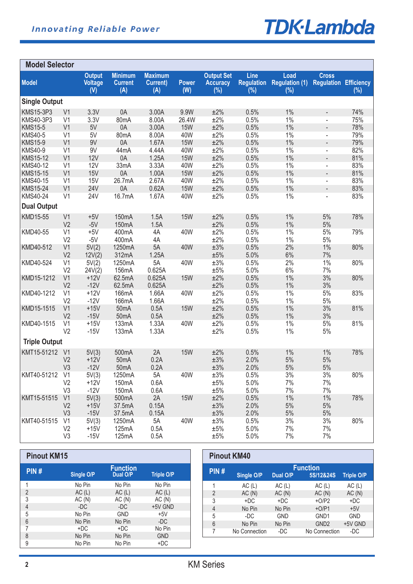

| <b>Model Selector</b>         |                                  |                                        |                                         |                                           |                     |                                             |                |                                                 |                                              |            |
|-------------------------------|----------------------------------|----------------------------------------|-----------------------------------------|-------------------------------------------|---------------------|---------------------------------------------|----------------|-------------------------------------------------|----------------------------------------------|------------|
| <b>Model</b>                  |                                  | <b>Output</b><br><b>Voltage</b><br>(V) | <b>Minimum</b><br><b>Current</b><br>(A) | <b>Maximum</b><br><b>Current</b> )<br>(A) | <b>Power</b><br>(W) | <b>Output Set</b><br><b>Accuracy</b><br>(%) | Line<br>$(\%)$ | Load<br><b>Regulation Regulation (1)</b><br>(%) | <b>Cross</b><br><b>Regulation Efficiency</b> | $(\%)$     |
| <b>Single Output</b>          |                                  |                                        |                                         |                                           |                     |                                             |                |                                                 |                                              |            |
| <b>KMS15-3P3</b><br>KMS40-3P3 | V <sub>1</sub><br>V <sub>1</sub> | 3.3V<br>3.3V                           | 0A<br>80mA                              | 3.00A<br>8.00A                            | 9.9W<br>26.4W       | ±2%<br>±2%                                  | 0.5%<br>0.5%   | 1%<br>$1\%$                                     | $\overline{\phantom{0}}$                     | 74%<br>75% |
| <b>KMS15-5</b>                | V <sub>1</sub>                   | 5V                                     | 0A                                      | 3.00A                                     | <b>15W</b>          | ±2%                                         | 0.5%           | 1%                                              | $\blacksquare$                               | 78%        |
| <b>KMS40-5</b>                | V <sub>1</sub>                   | 5V                                     | 80 <sub>m</sub> A                       | 8.00A                                     | 40W                 | ±2%                                         | 0.5%           | 1%                                              | L,                                           | 79%        |
| <b>KMS15-9</b>                | V <sub>1</sub>                   | 9V                                     | 0A                                      | 1.67A                                     | <b>15W</b>          | ±2%                                         | 0.5%           | 1%                                              | $\overline{\phantom{a}}$                     | 79%        |
| <b>KMS40-9</b>                | V <sub>1</sub>                   | 9V                                     | 44mA                                    | 4.44A                                     | 40W                 | ±2%                                         | 0.5%           | $1\%$                                           | $\blacksquare$                               | 82%        |
| <b>KMS15-12</b>               | V <sub>1</sub>                   | 12V                                    | 0A                                      | 1.25A                                     | <b>15W</b>          | ±2%                                         | 0.5%           | 1%                                              | $\overline{\phantom{a}}$                     | 81%        |
| KMS40-12                      | V <sub>1</sub>                   | 12V                                    | 33mA                                    | 3.33A                                     | 40W                 | ±2%                                         | 0.5%           | $1\%$                                           | $\overline{\phantom{0}}$                     | 83%        |
| <b>KMS15-15</b>               | V <sub>1</sub>                   | <b>15V</b>                             | 0A                                      | 1.00A                                     | <b>15W</b>          | ±2%                                         | 0.5%           | 1%                                              | $\overline{\phantom{a}}$                     | 81%        |
| KMS40-15                      | V <sub>1</sub>                   | <b>15V</b>                             | 26.7mA                                  | 2.67A                                     | 40W                 | ±2%                                         | 0.5%           | 1%                                              | $\blacksquare$                               | 83%        |
| <b>KMS15-24</b>               | V <sub>1</sub>                   | <b>24V</b>                             | 0A                                      | 0.62A                                     | <b>15W</b>          | ±2%                                         | 0.5%           | 1%                                              | $\overline{\phantom{a}}$                     | 83%        |
| KMS40-24                      | V <sub>1</sub>                   | 24V                                    | 16.7mA                                  | 1.67A                                     | 40W                 | ±2%                                         | 0.5%           | 1%                                              | L,                                           | 83%        |
| <b>Dual Output</b>            |                                  |                                        |                                         |                                           |                     |                                             |                |                                                 |                                              |            |
| KMD15-55                      | V <sub>1</sub>                   | $+5V$                                  | 150mA                                   | 1.5A                                      | <b>15W</b>          | ±2%                                         | 0.5%           | 1%                                              | 5%                                           | 78%        |
|                               | V <sub>2</sub>                   | $-5V$                                  | 150mA                                   | 1.5A                                      |                     | ±2%                                         | 0.5%           | 1%                                              | 5%                                           |            |
| KMD40-55                      | V <sub>1</sub>                   | $+5V$                                  | 400mA                                   | 4A                                        | 40W                 | ±2%                                         | 0.5%           | 1%                                              | 5%                                           | 79%        |
|                               | V <sub>2</sub>                   | $-5V$                                  | 400mA                                   | 4A                                        |                     | ±2%                                         | 0.5%           | 1%                                              | 5%                                           |            |
| KMD40-512                     | V <sub>1</sub>                   | 5V(2)                                  | 1250mA                                  | 5A                                        | 40W                 | $\pm 3\%$                                   | 0.5%           | 2%                                              | 1%                                           | 80%        |
|                               | V <sub>2</sub>                   | 12V(2)                                 | 312mA                                   | 1.25A                                     |                     | ±5%                                         | 5.0%           | 6%                                              | 7%                                           |            |
| KMD40-524                     | V <sub>1</sub><br>V <sub>2</sub> | 5V(2)                                  | 1250mA<br>156mA                         | 5A<br>0.625A                              | 40W                 | $\pm 3\%$<br>$\pm 5\%$                      | 0.5%<br>5.0%   | 2%<br>6%                                        | $1\%$<br>7%                                  | 80%        |
| KMD15-1212                    | V <sub>1</sub>                   | 24V(2)<br>$+12V$                       | 62.5mA                                  | 0.625A                                    | <b>15W</b>          | ±2%                                         | 0.5%           | 1%                                              | 3%                                           | 80%        |
|                               | V <sub>2</sub>                   | $-12V$                                 | 62.5mA                                  | 0.625A                                    |                     | ±2%                                         | 0.5%           | 1%                                              | 3%                                           |            |
| KMD40-1212                    | V <sub>1</sub>                   | $+12V$                                 | 166mA                                   | 1.66A                                     | 40W                 | ±2%                                         | 0.5%           | 1%                                              | 5%                                           | 83%        |
|                               | V <sub>2</sub>                   | $-12V$                                 | 166mA                                   | 1.66A                                     |                     | ±2%                                         | 0.5%           | 1%                                              | 5%                                           |            |
| KMD15-1515                    | V <sub>1</sub>                   | $+15V$                                 | 50 <sub>m</sub> A                       | 0.5A                                      | <b>15W</b>          | ±2%                                         | 0.5%           | 1%                                              | 3%                                           | 81%        |
|                               | V <sub>2</sub>                   | $-15V$                                 | 50 <sub>m</sub> A                       | 0.5A                                      |                     | ±2%                                         | 0.5%           | 1%                                              | 3%                                           |            |
| KMD40-1515                    | V <sub>1</sub>                   | $+15V$                                 | 133mA                                   | 1.33A                                     | 40W                 | ±2%                                         | 0.5%           | 1%                                              | 5%                                           | 81%        |
|                               | V <sub>2</sub>                   | $-15V$                                 | 133mA                                   | 1.33A                                     |                     | ±2%                                         | 0.5%           | 1%                                              | $5\%$                                        |            |
| <b>Triple Output</b>          |                                  |                                        |                                         |                                           |                     |                                             |                |                                                 |                                              |            |
| KMT15-51212                   | V <sub>1</sub>                   | 5V(3)                                  | 500mA                                   | 2A                                        | <b>15W</b>          | ±2%                                         | 0.5%           | 1%                                              | 1%                                           | 78%        |
|                               | V <sub>2</sub>                   | $+12V$                                 | 50 <sub>m</sub> A                       | 0.2A                                      |                     | $\pm 3\%$                                   | 2.0%           | 5%                                              | 5%                                           |            |
|                               | V <sub>3</sub>                   | $-12V$                                 | 50 <sub>m</sub> A                       | 0.2A                                      |                     | $\pm 3\%$                                   | 2.0%           | 5%                                              | $5\%$                                        |            |
| KMT40-51212 V1                |                                  | 5V(3)                                  | 1250mA                                  | 5A                                        | 40W                 | ±3%                                         | 0.5%           | 3%                                              | 3%                                           | 80%        |
|                               | V <sub>2</sub>                   | $+12V$                                 | 150mA                                   | 0.6A                                      |                     | $\pm 5\%$                                   | 5.0%           | 7%                                              | 7%                                           |            |
|                               | V <sub>3</sub>                   | $-12V$                                 | 150mA                                   | 0.6A                                      |                     | $\pm 5\%$                                   | 5.0%           | 7%                                              | 7%                                           |            |
| KMT15-51515                   | V <sub>1</sub>                   | 5V(3)                                  | 500mA                                   | 2A                                        | <b>15W</b>          | ±2%                                         | 0.5%           | 1%                                              | 1%                                           | 78%        |
|                               | V <sub>2</sub>                   | $+15V$                                 | 37.5mA                                  | 0.15A                                     |                     | $\pm 3\%$                                   | 2.0%           | 5%                                              | 5%                                           |            |
|                               | V <sub>3</sub>                   | $-15V$                                 | 37.5mA                                  | 0.15A                                     |                     | $\pm 3\%$                                   | 2.0%           | 5%                                              | $5\%$                                        |            |
| KMT40-51515                   | V <sub>1</sub>                   | 5V(3)                                  | 1250mA                                  | 5A                                        | 40W                 | $\pm 3\%$                                   | 0.5%           | 3%                                              | 3%                                           | 80%        |
|                               | V <sub>2</sub>                   | $+15V$                                 | 125mA                                   | 0.5A                                      |                     | $\pm 5\%$                                   | 5.0%           | 7%                                              | 7%                                           |            |
|                               | V <sub>3</sub>                   | $-15V$                                 | 125mA                                   | 0.5A                                      |                     | $\pm 5\%$                                   | 5.0%           | 7%                                              | 7%                                           |            |

| <b>Pinout KM15</b> |            |                             |                   |
|--------------------|------------|-----------------------------|-------------------|
| PIN#               | Single O/P | <b>Function</b><br>Dual O/P | <b>Triple O/P</b> |
| 1                  | No Pin     | No Pin                      | No Pin            |
| $\overline{2}$     | AC(L)      | AC(L)                       | AC(L)             |
| 3                  | AC(N)      | AC(N)                       | AC(N)             |
| $\overline{4}$     | -DC        | -DC                         | +5V GND           |
| 5                  | No Pin     | <b>GND</b>                  | $+5V$             |
| 6                  | No Pin     | No Pin                      | -DC               |
| 7                  | +DC        | +DC                         | No Pin            |
| 8                  | No Pin     | No Pin                      | <b>GND</b>        |
| 9                  | No Pin     | No Pin                      | $+DC$             |

| <b>Pinout KM40</b> |                                                                             |            |                  |            |  |  |  |
|--------------------|-----------------------------------------------------------------------------|------------|------------------|------------|--|--|--|
| PIN#               | <b>Function</b><br>Dual O/P<br>5S/12&24S<br>Single O/P<br><b>Triple O/P</b> |            |                  |            |  |  |  |
| 1                  | AC(L)                                                                       | AC(L)      | AC(L)            | AC(L)      |  |  |  |
| $\overline{2}$     | AC(N)                                                                       | AC(N)      | AC(N)            | AC(N)      |  |  |  |
| 3                  | $+DC$                                                                       | $+DC$      | $+O/P2$          | $+DC$      |  |  |  |
| $\overline{4}$     | No Pin                                                                      | No Pin     | $+O/P1$          | $+5V$      |  |  |  |
| 5                  | -DC                                                                         | <b>GND</b> | GND <sub>1</sub> | <b>GND</b> |  |  |  |
| 6                  | No Pin                                                                      | No Pin     | GND <sub>2</sub> | +5V GND    |  |  |  |
| 7                  | No Connection                                                               | -DC        | No Connection    | -DC        |  |  |  |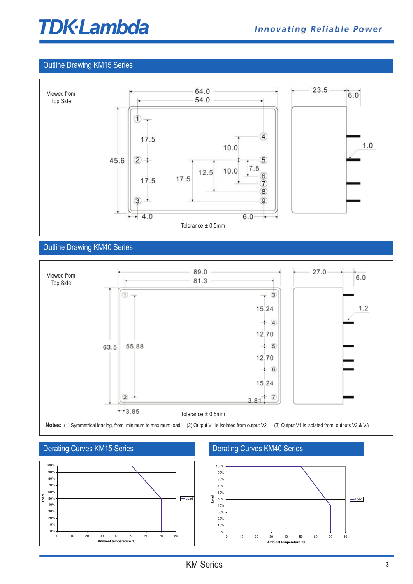## **TDK-Lambda**

#### **M (Top View)**  Outline Drawing KM15 Series



## Outline Drawing KM40 Series



#### Derating Curves KM15 Series



## Derating Curves KM40 Series